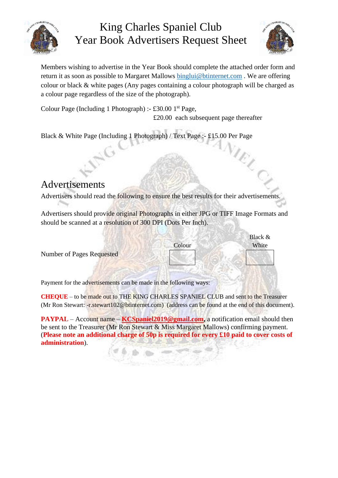

## King Charles Spaniel Club Year Book Advertisers Request Sheet



Members wishing to advertise in the Year Book should complete the attached order form and return it as soon as possible to Margaret Mallows [binglui@btinternet.com](mailto:binglui@btinternet.com) . We are offering colour or black & white pages (Any pages containing a colour photograph will be charged as a colour page regardless of the size of the photograph).

Colour Page (Including 1 Photograph) :- £30.00  $1<sup>st</sup>$  Page, £20.00 each subsequent page thereafter

Black & White Page (Including 1 Photograph) / Text Page :- £15.00 Per Page

## Advertisements

Advertisers should read the following to ensure the best results for their advertisements.

Advertisers should provide original Photographs in either JPG or TIFF Image Formats and should be scanned at a resolution of 300 DPI (Dots Per Inch).

|                           |        | Black $&$ |
|---------------------------|--------|-----------|
|                           | Colour | White     |
| Number of Pages Requested |        |           |
|                           |        |           |

Payment for the advertisements can be made in the following ways:

**CHEQUE** – to be made out to THE KING CHARLES SPANIEL CLUB and sent to the Treasurer (Mr Ron Stewart: -r.stewart102@btinternet.com) (address can be found at the end of this document).

**PAYPAL** – Account name – **KCSpaniel2019@gmail.com**, a notification email should then be sent to the Treasurer (Mr Ron Stewart & Miss Margaret Mallows) confirming payment. (**Please note an additional charge of 50p is required for every £10 paid to cover costs of administration**).